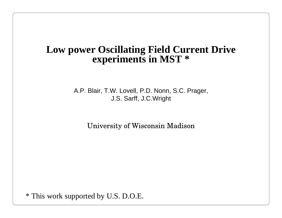# **Low power Oscillating Field Current Drive experiments in MST \***

A.P. Blair, T.W. Lovell, P.D. Nonn, S.C. Prager,J.S. Sarff, J.C.Wright

University of Wisconsin Madison

\* This work supported by U.S. D.O.E.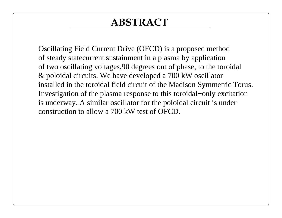## **ABSTRACT**

of two oscillating voltages, 90 degrees out of phase, to the toroidal Oscillating Field Current Drive (OFCD) is a proposed method of steady state current sustainment in a plasma by application& poloidal circuits. We have developed a 700 kW oscillatorInvestigation of the plasma response to this toroidal−only excitationis underway. A similar oscillator for the poloidal circuit is underconstruction to allow a 700 kW test of OFCD.installed in the toroidal field circuit of the Madison Symmetric Torus.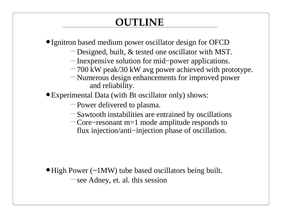# **OUTLINE**

- Ignitron based medium power oscillator design for OFCD
	- Designed, built, & tested one oscillator with MST.
	- Inexpensive solution for mid−power applications.
	- $-700$  kW peak/30 kW avg power achieved with prototype.
	- Numerous design enhancements for improved powerand reliability.
- Experimental Data (with Bt oscillator only) shows:
	- Power delivered to plasma.
	- $-Sa$ wtooth instabilities are entrained by oscillations
	- Core−resonant m=1 mode amplitude responds toflux injection/anti−injection phase of oscillation.

- High Power (~1MW) tube based oscillators being built.
	- $-$  see Adney, et. al. this session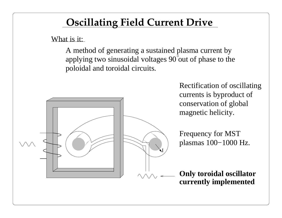# **Oscillating Field Current Drive**

What is it:

A method of generating a sustained plasma current by applying two sinusoidal voltages 90 out of phase to thepoloidal and toroidal circuits.

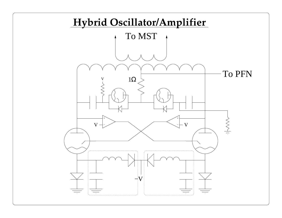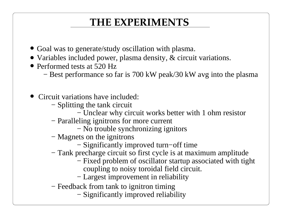## **THE EXPERIMENTS**

- Goal was to generate/study oscillation with plasma.
- Variables included power, plasma density, & circuit variations.
- Performed tests at 520 Hz
	- − Best performance so far is 700 kW peak/30 kW avg into the plasma
- Circuit variations have included:
	- − Splitting the tank circuit
		- − Unclear why circuit works better with 1 ohm resistor
	- − Paralleling ignitrons for more current
		- − No trouble synchronizing ignitors
	- − Magnets on the ignitrons
		- − Significantly improved turn−off time
	- − Tank precharge circuit so first cycle is at maximum amplitude
		- − Fixed problem of oscillator startup associated with tightcoupling to noisy toroidal field circuit.
		- − Largest improvement in reliability
	- − Feedback from tank to ignitron timing
		- − Significantly improved reliability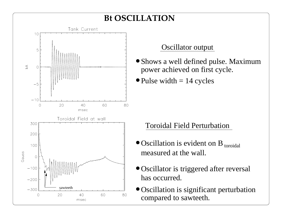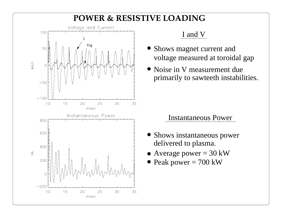

#### I and V

- voltage measured at toroidal gap Shows magnet current and
- Noise in V measurement dueprimarily to sawteeth instabilities.

Instantaneous Power

- Shows instantaneous power delivered to plasma.
- Average power  $= 30 \text{ kW}$
- Peak power = 700 kW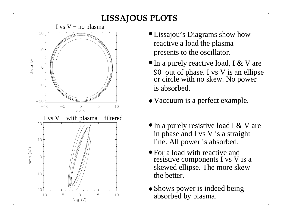## **LISSAJOUS PLOTS**



- Lissajou's Diagrams show howreactive a load the plasmapresents to the oscillator.
- $\bullet$  In a purely reactive load, I & V are 90 out of phase. I vs V is an ellipseor circle with no skew. No poweris absorbed.
- Vaccuum is a perfect example.
- $\bullet$  In a purely resistive load I & V are in phase and I vs V is a straightline. All power is absorbed.
- For a load with reactive and resistive components I vs V is askewed ellipse. The more skew the better.
- Shows power is indeed being absorbed by plasma.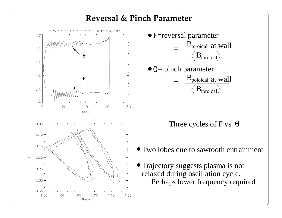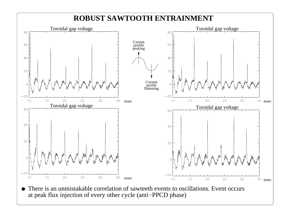

There is an unmistakable correlation of sawteeth events to oscillations. Event occursat peak flux injection of every other cycle (anti−PPCD phase)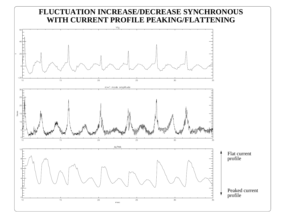#### **FLUCTUATION INCREASE/DECREASE SYNCHRONOUSWITH CURRENT PROFILE PEAKING/FLATTENING**

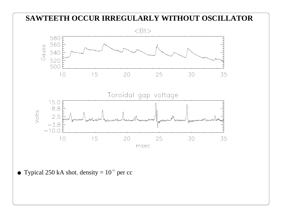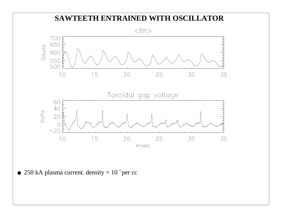

250 kA plasma current. density =  $10^{13}$  per cc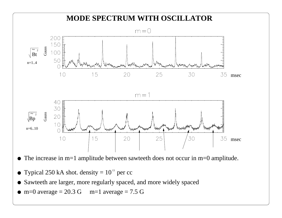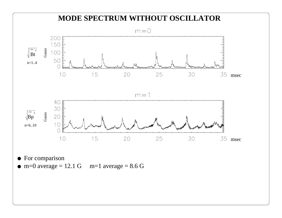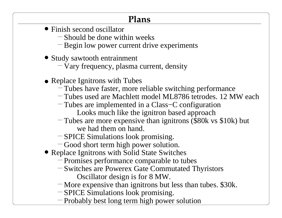## Plans

- Finish second oscillator
	- Should be done within weeks
	- Begin low power current drive experiments
- Study sawtooth entrainment
	- Vary frequency, plasma current, density
- Replace Ignitrons with Tubes
	- Tubes have faster, more reliable switching performance
	- Tubes used are Machlett model ML8786 tetrodes. 12 MW each
	- Tubes are implemented in a Class−C configuration
		- Looks much like the ignitron based approach
	- Tubes are more expensive than ignitrons (\$80k vs \$10k) butwe had them on hand.
	- SPICE Simulations look promising.
	- Good short term high power solution.
- Replace Ignitrons with Solid State Switches
	- Promises performance comparable to tubes
	- Switches are Powerex Gate Commutated Thyristors Oscillator design is for 8 MW.
	- More expensive than ignitrons but less than tubes. \$30k.
	- $-$  SPICE Simulations look promising.
	- Probably best long term high power solution